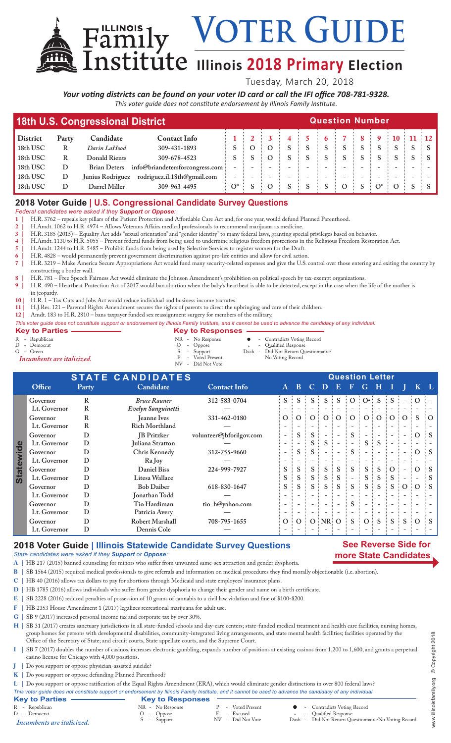# **ILLEXECO ILLINOIS 2018 Primary Election**

Tuesday, March 20, 2018

VOTER GUIDE

*Your voting districts can be found on your voter ID card or call the IFI office 708-781-9328. This voter guide does not constitute endorsement by Illinois Family Institute.*

| 18th U.S. Congressional District |       | <b>Question Number</b> |                                 |       |  |          |  |  |  |  |  |   |                  |  |  |
|----------------------------------|-------|------------------------|---------------------------------|-------|--|----------|--|--|--|--|--|---|------------------|--|--|
| <b>District</b>                  | Party | Candidate              | <b>Contact Info</b>             |       |  |          |  |  |  |  |  | 9 | $\div$ 10 $\div$ |  |  |
| 18th USC                         | R     | Darin LaHood           | 309-431-1893                    |       |  | $\Omega$ |  |  |  |  |  |   |                  |  |  |
| 18th USC                         | R     | Donald Rients          | 309-678-4523                    |       |  | $\Omega$ |  |  |  |  |  |   |                  |  |  |
| 18th USC                         | D     | <b>Brian Deters</b>    | info@briandetersforcongress.com |       |  |          |  |  |  |  |  |   |                  |  |  |
| 18th USC                         | D     | Junius Rodriguez       | rodriguez.il.18th@gmail.com     |       |  |          |  |  |  |  |  |   |                  |  |  |
| 18th USC                         | D     | Darrel Miller          | 309-963-4495                    | $O^*$ |  |          |  |  |  |  |  |   |                  |  |  |
|                                  |       |                        |                                 |       |  |          |  |  |  |  |  |   |                  |  |  |

## **2018 Voter Guide | U.S. Congressional Candidate Survey Questions**

*Federal candidates were asked if they Support or Oppose:*

**1 |** H.R. 3762 – repeals key pillars of the Patient Protection and Affordable Care Act and, for one year, would defund Planned Parenthood.

**2 |** H.Amdt. 1062 to H.R. 4974 – Allows Veterans Affairs medical professionals to recommend marijuana as medicine.

**3 |** H.R. 3185 (2015) – Equality Act adds "sexual orientation" and "gender identity" to many federal laws, granting special privileges based on behavior.

**4 |** H.Amdt. 1130 to H.R. 5055 – Prevent federal funds from being used to undermine religious freedom protections in the Religious Freedom Restoration Act.

**5 |** H.Amdt. 1244 to H.R. 5485 – Prohibit funds from being used by Selective Services to register women for the Draft.

**6 |** H.R. 4828 – would permanently prevent government discrimination against pro-life entities and allow for civil action.

**7 |** H.R. 3219 – Make America Secure Appropriations Act would fund many security-related expenses and give the U.S. control over those entering and exiting the country by constructing a border wall.

**8 |** H.R. 781 – Free Speech Fairness Act would eliminate the Johnson Amendment's prohibition on political speech by tax-exempt organizations.

**9 |** H.R. 490 – Heartbeat Protection Act of 2017 would ban abortion when the baby's heartbeat is able to be detected, except in the case when the life of the mother is in jeopardy.

**10 |** H.R. 1 – Tax Cuts and Jobs Act would reduce individual and business income tax rates.

Family

**11 |** H.J.Res. 121 – Parental Rights Amendment secures the rights of parents to direct the upbringing and care of their children.

**12 |** Amdt. 183 to H.R. 2810 – bans taxpayer funded sex reassignment surgery for members of the military.

*This voter guide does not constitute support or endorsement by Illinois Family Institute, and it cannot be used to advance the candidacy of any individual.*

| <b>Key to Parties</b>      | <b>Key to Responses</b> |        |  |                                      |  |  |  |  |
|----------------------------|-------------------------|--------|--|--------------------------------------|--|--|--|--|
| R - Republican             | NR - No Response        |        |  | • Contradicts Voting Record          |  |  |  |  |
| D - Democrat               | $O$ - Oppose            | $\ast$ |  | - Qualified Response                 |  |  |  |  |
| $G -$ Green                | S - Support             |        |  | Dash - Did Not Return Questionnaire/ |  |  |  |  |
| Incumbents are italicized. | P - Voted Present       |        |  | No Voting Record                     |  |  |  |  |
|                            | NV - Did Not Vote       |        |  |                                      |  |  |  |  |

| <b>STATE CANDIDATES</b> |              |       |                        |                          |                          | <b>Question Letter</b>   |                |                           |                          |                          |                          |   |                          |                          |          |                |
|-------------------------|--------------|-------|------------------------|--------------------------|--------------------------|--------------------------|----------------|---------------------------|--------------------------|--------------------------|--------------------------|---|--------------------------|--------------------------|----------|----------------|
|                         | Office       | Party | Candidate              | <b>Contact Info</b>      | $\mathbf{A}$             | $\bf{B}$                 |                | $\mathbf{C}$ $\mathbf{D}$ | $\mathbf{E}$             | 4P                       | G                        | н |                          |                          |          |                |
|                         | Governor     | R     | <b>Bruce Rauner</b>    | 312-583-0704             | $S^{\pm}$                | S                        |                | $S$ :                     | S.                       | $\vdots$ O               | $\vdots$ O.              | S |                          |                          | $\Omega$ |                |
|                         | Lt. Governor | R     | Evelyn Sanguinetti     |                          |                          |                          |                |                           |                          |                          |                          |   |                          |                          |          |                |
|                         | Governor     | R     | <b>Jeanne Ives</b>     | 331-462-0180             | $\overline{O}$           | $\Omega$                 | O <sub>1</sub> | $\overline{O}$            | $\vdots$ O               | $\vdots$ O $\vdots$      | O <sup>3</sup>           |   | O:O:                     | $\Omega$                 | S        | $\partial$     |
|                         | Lt. Governor | R     | <b>Rich Morthland</b>  |                          |                          |                          |                |                           |                          |                          |                          |   |                          |                          |          |                |
|                         | Governor     | D     | <b>IB</b> Pritzker     | volunteer@jbforilgov.com | $\overline{\phantom{0}}$ | S                        | S              |                           |                          | S.                       |                          |   |                          | $\overline{\phantom{a}}$ | $\Omega$ | $\mathbf{S}$   |
|                         | Lt. Governor | D     | Juliana Stratton       |                          | $\overline{\phantom{a}}$ |                          | S.             | S.                        |                          |                          | S.                       | S |                          | $\overline{\phantom{a}}$ |          |                |
| ewide                   | Governor     | D     | Chris Kennedy          | 312-755-9660             | $\overline{\phantom{a}}$ | S                        | S:             |                           |                          | S.                       | $\overline{\phantom{a}}$ |   |                          | $\overline{\phantom{a}}$ | $\Omega$ | $\therefore$ S |
|                         | Lt. Governor | D     | Ra Joy                 |                          |                          |                          |                |                           |                          |                          |                          |   |                          |                          |          |                |
| <b>State</b>            | Governor     | D     | <b>Daniel Biss</b>     | 224-999-7927             | S.                       | S                        | $S$ :          | S                         | S                        | S                        | $S^{\pm}$                | S | O:                       |                          | $\Omega$ |                |
|                         | Lt. Governor | D     | Litesa Wallace         |                          | S                        | S                        | S              | S                         | S                        |                          | S                        | S | S.                       |                          |          |                |
|                         | Governor     | D     | <b>Bob Daiber</b>      | 618-830-1647             | S.                       | S                        | $S^{\pm}$      | S                         | <sub>S</sub>             | S                        | $S$ :                    | S | $S$ :                    | O:O                      |          | $\pm$ S        |
|                         | Lt. Governor | D     | Jonathan Todd          |                          |                          |                          |                |                           |                          |                          |                          |   |                          |                          |          |                |
|                         | Governor     | D     | Tio Hardiman           | tio_h@yahoo.com          | $\overline{\phantom{0}}$ |                          |                | $\overline{\phantom{0}}$  | $\overline{\phantom{a}}$ | S                        |                          |   |                          |                          |          |                |
|                         | Lt. Governor | D     | Patricia Avery         |                          | $\qquad \qquad -$        | $\overline{\phantom{a}}$ |                | $\overline{\phantom{a}}$  | $\overline{\phantom{a}}$ | $\overline{\phantom{a}}$ | $-$                      |   | $\overline{\phantom{a}}$ | $\overline{\phantom{a}}$ |          |                |
|                         | Governor     | D     | <b>Robert Marshall</b> | 708-795-1655             | O:                       | $\Omega$                 |                | $O$ NR $O$                |                          | S.                       | O <sup>1</sup>           | S | S                        | <sub>S</sub>             | $\Omega$ |                |
|                         | Lt. Governor | D     | Dennis Cole            |                          |                          |                          |                |                           |                          |                          |                          |   |                          |                          |          |                |

#### **2018 Voter Guide | Illinois Statewide Candidate Survey Questions**

*State candidates were asked if they Support or Oppose:*

**A |** HB 217 (2015) banned counseling for minors who suffer from unwanted same-sex attraction and gender dysphoria.

**B |** SB 1564 (2015) required medical professionals to give referrals and information on medical procedures they find morally objectionable (i.e. abortion).

- **C |** HB 40 (2016) allows tax dollars to pay for abortions through Medicaid and state employees' insurance plans.
- **D |** HB 1785 (2016) allows individuals who suffer from gender dysphoria to change their gender and name on a birth certificate.

**E |** SB 2228 (2016) reduced penalties of possession of 10 grams of cannabis to a civil law violation and fine of \$100-\$200.

- **F |** HB 2353 House Amendment 1 (2017) legalizes recreational marijuana for adult use.
- **G |** SB 9 (2017) increased personal income tax and corporate tax by over 30%.

**H |** SB 31 (2017) creates sanctuary jurisdictions in all state-funded schools and day-care centers; state-funded medical treatment and health care facilities, nursing homes, group homes for persons with developmental disabilities, community-integrated living arrangements, and state mental health facilities; facilities operated by the Office of the Secretary of State; and circuit courts, State appellate courts, and the Supreme Court.

- **I |** SB 7 (2017) doubles the number of casinos, increases electronic gambling, expands number of positions at existing casinos from 1,200 to 1,600, and grants a perpetual casino license for Chicago with 4,000 positions.
- **J |** Do you support or oppose physician-assisted suicide?
- **K |** Do you support or oppose defunding Planned Parenthood?

**L |** Do you support or oppose ratification of the Equal Rights Amendment (ERA), which would eliminate gender distinctions in over 800 federal laws?

*This voter guide does not constitute support or endorsement by Illinois Family Institute, and it cannot be used to advance the candidacy of any individual.*

| <b>Rey to Parties</b> | <b>Rev to Responses</b> |                   |  |                             |
|-----------------------|-------------------------|-------------------|--|-----------------------------|
| R - Republican        | NR - No Response        | P - Voted Present |  | - Contradicts Voting Record |
| D - Democrat          | O - Oppose              | E - Excused       |  | . - Qualified Response      |

D - Democrat C - Oppose<br>
D - Democrat O - Oppose E - Excused<br>
D - Support Response E - Excused Response E - Excused Response E - Excused Response in the Response of the Response of the Response of the Response of the Respo

**Key to Responses**<br> **NR - No Response**<br> **O - Oppose**<br> **S** - Support

- - Dash Did Not Return Questionnaire/No Voting Record

**See Reverse Side for more State Candidates**

> www.illinoisfamily.org © Copyright 2018 www.illinoisfamily.org © Copyright 2018